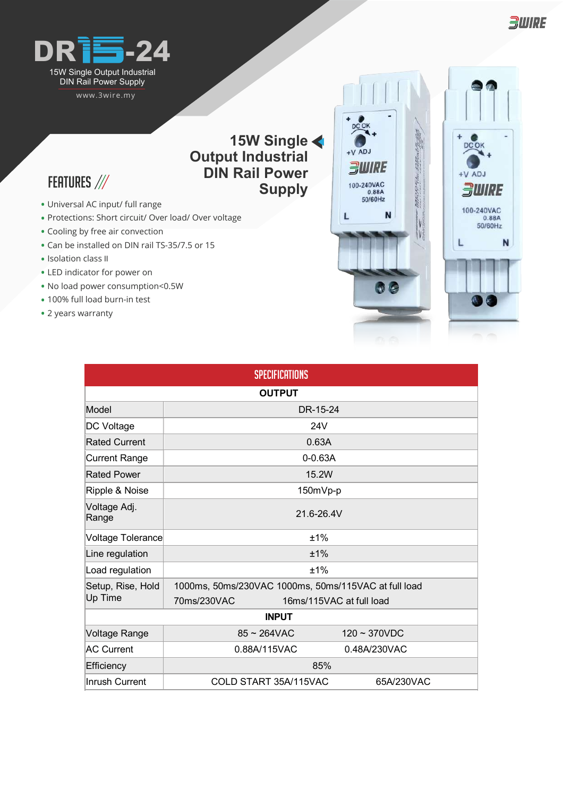

www.3wire.my

## **15W Single Output Industrial DIN Rail Power Supply**

 $+V$  ADJ *BWIRE* 

100-240VAC<br>0.88A<br>50/60Hz

L

N

- FEATURES ///
- Universal AC input/ full range **•**
- Protections: Short circuit/ Over load/ Over voltage **•**
- Cooling by free air convection **•**
- Can be installed on DIN rail TS-35/7.5 or 15 **•**
- Isolation class II
- LED indicator for power on **•**
- No load power consumption<0.5W **•**
- 100% full load burn-in test **•**
- 2 years warranty **•**

| Jass II<br>ator for power on<br>ower consumption<0.5W<br>load burn-in test<br>arranty |                                                      |                          |
|---------------------------------------------------------------------------------------|------------------------------------------------------|--------------------------|
|                                                                                       | <b>SPECIFICATIONS</b>                                |                          |
|                                                                                       | <b>OUTPUT</b>                                        |                          |
| Model                                                                                 | DR-15-24                                             |                          |
| DC Voltage                                                                            | <b>24V</b>                                           |                          |
| <b>Rated Current</b>                                                                  | 0.63A                                                |                          |
| <b>Current Range</b>                                                                  | $0 - 0.63A$                                          |                          |
| <b>Rated Power</b>                                                                    | 15.2W                                                |                          |
| Ripple & Noise                                                                        | 150mVp-p                                             |                          |
| Voltage Adj.<br>Range                                                                 | 21.6-26.4V                                           |                          |
| Voltage Tolerance                                                                     | ±1%                                                  |                          |
| Line regulation                                                                       | ±1%                                                  |                          |
| Load regulation                                                                       | ±1%                                                  |                          |
| Setup, Rise, Hold                                                                     | 1000ms, 50ms/230VAC 1000ms, 50ms/115VAC at full load |                          |
| Up Time                                                                               | 70ms/230VAC                                          | 16ms/115VAC at full load |
|                                                                                       | <b>INPUT</b>                                         |                          |
| Voltage Range                                                                         | $85 \sim 264$ VAC                                    | $120 - 370VDC$           |
| <b>AC Current</b>                                                                     | 0.88A/115VAC                                         | 0.48A/230VAC             |
| Efficiency                                                                            | 85%                                                  |                          |
| <b>Inrush Current</b>                                                                 | COLD START 35A/115VAC                                | 65A/230VAC               |



**BWIRE**